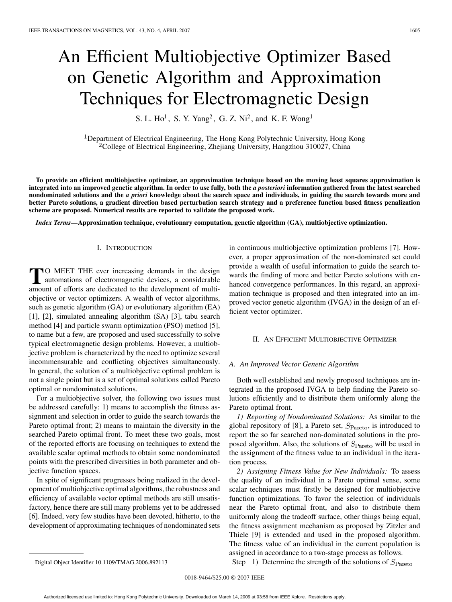# An Efficient Multiobjective Optimizer Based on Genetic Algorithm and Approximation Techniques for Electromagnetic Design

S. L. Ho<sup>1</sup>, S. Y. Yang<sup>2</sup>, G. Z. Ni<sup>2</sup>, and K. F. Wong<sup>1</sup>

<sup>1</sup>Department of Electrical Engineering, The Hong Kong Polytechnic University, Hong Kong <sup>2</sup>College of Electrical Engineering, Zhejiang University, Hangzhou 310027, China

**To provide an efficient multiobjective optimizer, an approximation technique based on the moving least squares approximation is integrated into an improved genetic algorithm. In order to use fully, both the** *a posteriori* **information gathered from the latest searched nondominated solutions and the** *a priori* **knowledge about the search space and individuals, in guiding the search towards more and better Pareto solutions, a gradient direction based perturbation search strategy and a preference function based fitness penalization scheme are proposed. Numerical results are reported to validate the proposed work.**

*Index Terms—***Approximation technique, evolutionary computation, genetic algorithm (GA), multiobjective optimization.**

## I. INTRODUCTION

**TO** MEET THE ever increasing demands in the design<br>automations of electromagnetic devices, a considerable<br>amount of efforts are dedicated to the development of multiamount of efforts are dedicated to the development of multiobjective or vector optimizers. A wealth of vector algorithms, such as genetic algorithm (GA) or evolutionary algorithm (EA) [\[1\], \[2\],](#page-3-0) simulated annealing algorithm (SA) [\[3\],](#page-3-0) tabu search method [\[4\]](#page-3-0) and particle swarm optimization (PSO) method [\[5\],](#page-3-0) to name but a few, are proposed and used successfully to solve typical electromagnetic design problems. However, a multiobjective problem is characterized by the need to optimize several incommensurable and conflicting objectives simultaneously. In general, the solution of a multiobjective optimal problem is not a single point but is a set of optimal solutions called Pareto optimal or nondominated solutions.

For a multiobjective solver, the following two issues must be addressed carefully: 1) means to accomplish the fitness assignment and selection in order to guide the search towards the Pareto optimal front; 2) means to maintain the diversity in the searched Pareto optimal front. To meet these two goals, most of the reported efforts are focusing on techniques to extend the available scalar optimal methods to obtain some nondominated points with the prescribed diversities in both parameter and objective function spaces.

In spite of significant progresses being realized in the development of multiobjective optimal algorithms, the robustness and efficiency of available vector optimal methods are still unsatisfactory, hence there are still many problems yet to be addressed [\[6\].](#page-3-0) Indeed, very few studies have been devoted, hitherto, to the development of approximating techniques of nondominated sets

in continuous multiobjective optimization problems [\[7\]](#page-3-0). However, a proper approximation of the non-dominated set could provide a wealth of useful information to guide the search towards the finding of more and better Pareto solutions with enhanced convergence performances. In this regard, an approximation technique is proposed and then integrated into an improved vector genetic algorithm (IVGA) in the design of an efficient vector optimizer.

## II. AN EFFICIENT MULTIOBJECTIVE OPTIMIZER

#### *A. An Improved Vector Genetic Algorithm*

Both well established and newly proposed techniques are integrated in the proposed IVGA to help finding the Pareto solutions efficiently and to distribute them uniformly along the Pareto optimal front.

*1) Reporting of Nondominated Solutions:* As similar to the global repository of [\[8\],](#page-3-0) a Pareto set,  $S_{\text{Pareto}}$ , is introduced to report the so far searched non-dominated solutions in the proposed algorithm. Also, the solutions of  $S_{\text{Pareto}}$  will be used in the assignment of the fitness value to an individual in the iteration process.

*2) Assigning Fitness Value for New Individuals:* To assess the quality of an individual in a Pareto optimal sense, some scalar techniques must firstly be designed for multiobjective function optimizations. To favor the selection of individuals near the Pareto optimal front, and also to distribute them uniformly along the tradeoff surface, other things being equal, the fitness assignment mechanism as proposed by Zitzler and Thiele [\[9\]](#page-3-0) is extended and used in the proposed algorithm. The fitness value of an individual in the current population is assigned in accordance to a two-stage process as follows. Step 1) Determine the strength of the solutions of  $S_{\text{Pareto}}$ 

Digital Object Identifier 10.1109/TMAG.2006.892113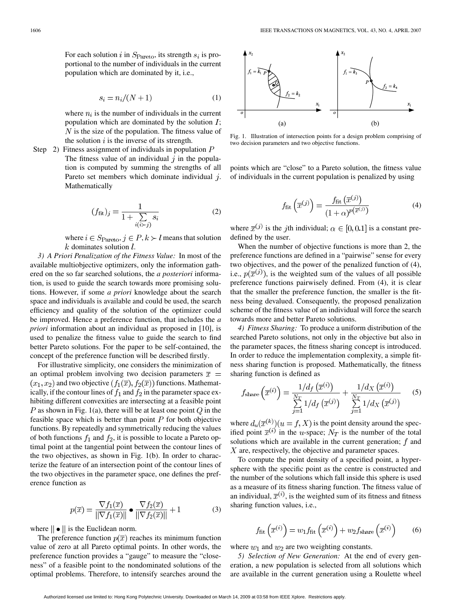For each solution i in  $S_{\text{Pareto}}$ , its strength  $s_i$  is proportional to the number of individuals in the current population which are dominated by it, i.e.,

$$
s_i = n_i/(N+1) \tag{1}
$$

where  $n_i$  is the number of individuals in the current population which are dominated by the solution  $I$ ;  $N$  is the size of the population. The fitness value of the solution  $i$  is the inverse of its strength.

Step 2) Fitness assignment of individuals in population  $P$ The fitness value of an individual  $j$  in the population is computed by summing the strengths of all Pareto set members which dominate individual  $j$ . Mathematically

$$
(f_{\text{fit}})_j = \frac{1}{1 + \sum_{i(i \succ j)} s_i} \tag{2}
$$

where  $i \in S_{\text{Pareto}}$ ,  $j \in P$ ,  $k \succ l$  means that solution  $k$  dominates solution  $l$ .

*3) A Priori Penalization of the Fitness Value:* In most of the available multiobjective optimizers, only the information gathered on the so far searched solutions, the *a posteriori* information, is used to guide the search towards more promising solutions. However, if some *a priori* knowledge about the search space and individuals is available and could be used, the search efficiency and quality of the solution of the optimizer could be improved. Hence a preference function, that includes the *a priori* information about an individual as proposed in [\[10\]](#page-3-0), is used to penalize the fitness value to guide the search to find better Pareto solutions. For the paper to be self-contained, the concept of the preference function will be described firstly.

For illustrative simplicity, one considers the minimization of an optimal problem involving two decision parameters  $\bar{x}$  =  $a(x_1, x_2)$  and two objective  $(f_1(\overline{x}), f_2(\overline{x}))$  functions. Mathematically, if the contour lines of  $f_1$  and  $f_2$  in the parameter space exhibiting different convexities are intersecting at a feasible point P as shown in Fig. 1(a), there will be at least one point  $Q$  in the feasible space which is better than point  $P$  for both objective functions. By repeatedly and symmetrically reducing the values of both functions  $f_1$  and  $f_2$ , it is possible to locate a Pareto optimal point at the tangential point between the contour lines of the two objectives, as shown in Fig. 1(b). In order to characterize the feature of an intersection point of the contour lines of the two objectives in the parameter space, one defines the preference function as

$$
p(\overline{x}) = \frac{\nabla f_1(\overline{x})}{\|\nabla f_1(\overline{x})\|} \bullet \frac{\nabla f_2(\overline{x})}{\|\nabla f_2(\overline{x})\|} + 1
$$
 (3)

where  $\|\bullet\|$  is the Euclidean norm.

The preference function  $p(\overline{x})$  reaches its minimum function value of zero at all Pareto optimal points. In other words, the preference function provides a "gauge" to measure the "closeness" of a feasible point to the nondominated solutions of the optimal problems. Therefore, to intensify searches around the



Fig. 1. Illustration of intersection points for a design problem comprising of two decision parameters and two objective functions.

points which are "close" to a Pareto solution, the fitness value of individuals in the current population is penalized by using

$$
f_{\text{fit}}\left(\overline{x}^{(j)}\right) = \frac{f_{\text{fit}}\left(\overline{x}^{(j)}\right)}{(1+\alpha)^{p(\overline{x}^{(j)})}}
$$
(4)

where  $\overline{x}^{(j)}$  is the *j*th individual;  $\alpha \in [0, 0.1]$  is a constant predefined by the user.

When the number of objective functions is more than 2, the preference functions are defined in a "pairwise" sense for every two objectives, and the power of the penalized function of (4), i.e.,  $p(\overline{x}^{(j)})$ , is the weighted sum of the values of all possible preference functions pairwisely defined. From (4), it is clear that the smaller the preference function, the smaller is the fitness being devalued. Consequently, the proposed penalization scheme of the fitness value of an individual will force the search towards more and better Pareto solutions.

*4) Fitness Sharing:* To produce a uniform distribution of the searched Pareto solutions, not only in the objective but also in the parameter spaces, the fitness sharing concept is introduced. In order to reduce the implementation complexity, a simple fitness sharing function is proposed. Mathematically, the fitness sharing function is defined as

$$
f_{\text{share}}\left(\overline{x}^{(i)}\right) = \frac{1/d_f\left(\overline{x}^{(i)}\right)}{\sum_{j=1}^{N_T} 1/d_f\left(\overline{x}^{(j)}\right)} + \frac{1/d_X\left(\overline{x}^{(i)}\right)}{\sum_{j=1}^{N_T} 1/d_X\left(\overline{x}^{(j)}\right)} \tag{5}
$$

where  $d_u(\overline{x}^{(k)})(u = f, X)$  is the point density around the specified point  $\overline{x}^{(i)}$  in the *u*-space;  $N_T$  is the number of the total solutions which are available in the current generation;  $f$  and  $X$  are, respectively, the objective and parameter spaces.

To compute the point density of a specified point, a hypersphere with the specific point as the centre is constructed and the number of the solutions which fall inside this sphere is used as a measure of its fitness sharing function. The fitness value of an individual,  $\overline{x}^{(i)}$ , is the weighted sum of its fitness and fitness sharing function values, i.e.,

$$
f_{\text{fit}}\left(\overline{x}^{(i)}\right) = w_1 f_{\text{fit}}\left(\overline{x}^{(i)}\right) + w_2 f_{\text{share}}\left(\overline{x}^{(i)}\right) \tag{6}
$$

where  $w_1$  and  $w_2$  are two weighting constants.

*5) Selection of New Generation:* At the end of every generation, a new population is selected from all solutions which are available in the current generation using a Roulette wheel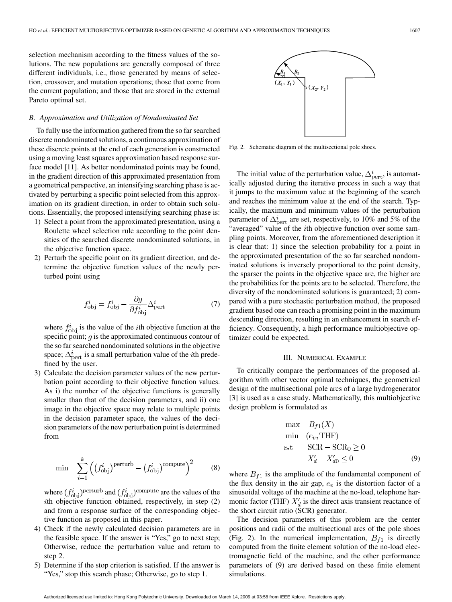selection mechanism according to the fitness values of the solutions. The new populations are generally composed of three different individuals, i.e., those generated by means of selection, crossover, and mutation operations; those that come from the current population; and those that are stored in the external Pareto optimal set.

### *B. Approximation and Utilization of Nondominated Set*

To fully use the information gathered from the so far searched discrete nondominated solutions, a continuous approximation of these discrete points at the end of each generation is constructed using a moving least squares approximation based response surface model [\[11\]](#page-3-0). As better nondominated points may be found, in the gradient direction of this approximated presentation from a geometrical perspective, an intensifying searching phase is activated by perturbing a specific point selected from this approximation on its gradient direction, in order to obtain such solutions. Essentially, the proposed intensifying searching phase is:

- 1) Select a point from the approximated presentation, using a Roulette wheel selection rule according to the point densities of the searched discrete nondominated solutions, in the objective function space.
- 2) Perturb the specific point on its gradient direction, and determine the objective function values of the newly perturbed point using

$$
f_{\rm obj}^i = f_{\rm obj}^i - \frac{\partial g}{\partial f_{\rm obj}^i} \Delta_{\rm pert}^i \tag{7}
$$

where  $f_{\text{obj}}^i$  is the value of the *i*th objective function at the specific point;  $q$  is the approximated continuous contour of the so far searched nondominated solutions in the objective space;  $\Delta_{\text{pert}}^i$  is a small perturbation value of the *i*th predefined by the user.

3) Calculate the decision parameter values of the new perturbation point according to their objective function values. As i) the number of the objective functions is generally smaller than that of the decision parameters, and ii) one image in the objective space may relate to multiple points in the decision parameter space, the values of the decision parameters of the new perturbation point is determined from

$$
\min \sum_{i=1}^{k} \left( \left( f_{\text{obj}}^{i} \right)^{\text{perturb}} - \left( f_{\text{obj}}^{i} \right)^{\text{compute}} \right)^{2} \tag{8}
$$

where  $(f_{\text{obj}}^i)$ <sup>perturb</sup> and  $(f_{\text{obj}}^i)$ <sup>compute</sup> are the values of the th objective function obtained, respectively, in step (2) and from a response surface of the corresponding objective function as proposed in this paper.

- 4) Check if the newly calculated decision parameters are in the feasible space. If the answer is "Yes," go to next step; Otherwise, reduce the perturbation value and return to step 2.
- 5) Determine if the stop criterion is satisfied. If the answer is "Yes," stop this search phase; Otherwise, go to step 1.



Fig. 2. Schematic diagram of the multisectional pole shoes.

The initial value of the perturbation value,  $\Delta_{\text{pert}}^i$ , is automatically adjusted during the iterative process in such a way that it jumps to the maximum value at the beginning of the search and reaches the minimum value at the end of the search. Typically, the maximum and minimum values of the perturbation parameter of  $\Delta_{\text{pert}}^i$  are set, respectively, to 10% and 5% of the "averaged" value of the *i*th objective function over some sampling points. Moreover, from the aforementioned description it is clear that: 1) since the selection probability for a point in the approximated presentation of the so far searched nondominated solutions is inversely proportional to the point density, the sparser the points in the objective space are, the higher are the probabilities for the points are to be selected. Therefore, the diversity of the nondominated solutions is guaranteed; 2) compared with a pure stochastic perturbation method, the proposed gradient based one can reach a promising point in the maximum descending direction, resulting in an enhancement in search efficiency. Consequently, a high performance multiobjective optimizer could be expected.

#### III. NUMERICAL EXAMPLE

To critically compare the performances of the proposed algorithm with other vector optimal techniques, the geometrical design of the multisectional pole arcs of a large hydrogenerator [\[3\]](#page-3-0) is used as a case study. Mathematically, this multiobjective design problem is formulated as

$$
\begin{array}{ll}\n\max & B_{f1}(X) \\
\min & (e_v, \text{THF}) \\
\text{s.t} & \text{SCR} - \text{SCR}_0 \ge 0 \\
& X_d' - X_{d0}' \le 0\n\end{array} \tag{9}
$$

where  $B_{f1}$  is the amplitude of the fundamental component of the flux density in the air gap,  $e_v$  is the distortion factor of a sinusoidal voltage of the machine at the no-load, telephone harmonic factor (THF)  $X_d$  is the direct axis transient reactance of the short circuit ratio (SCR) generator.

The decision parameters of this problem are the center positions and radii of the multisectional arcs of the pole shoes (Fig. 2). In the numerical implementation,  $B_{f1}$  is directly computed from the finite element solution of the no-load electromagnetic field of the machine, and the other performance parameters of (9) are derived based on these finite element simulations.